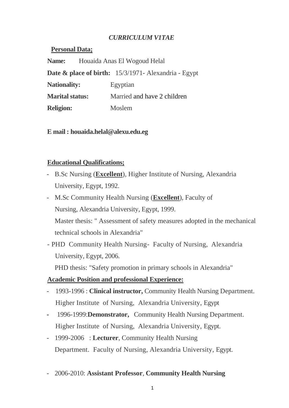# *CURRICULUM V1TAE*

| Personal Data;         |                                           |                                                                    |
|------------------------|-------------------------------------------|--------------------------------------------------------------------|
|                        | <b>Name:</b> Houaida Anas El Wogoud Helal |                                                                    |
|                        |                                           | <b>Date &amp; place of birth:</b> $15/3/1971$ - Alexandria - Egypt |
| <b>Nationality:</b>    |                                           | Egyptian                                                           |
| <b>Marital status:</b> |                                           | Married and have 2 children                                        |
| <b>Religion:</b>       |                                           | Moslem                                                             |

**E mail : houaida.helal@alexu.edu.eg**

### **Educational Qualifications;**

**Personal** 

- B.Sc Nursing (**Excellent**), Higher Institute of Nursing, Alexandria University, Egypt, 1992.
- M.Sc Community Health Nursing (**Excellent**), Faculty of Nursing, Alexandria University, Egypt, 1999. Master thesis: " Assessment of safety measures adopted in the mechanical technical schools in Alexandria"
- PHD Community Health Nursing- Faculty of Nursing, Alexandria University, Egypt, 2006.

PHD thesis: "Safety promotion in primary schools in Alexandria"

# **Academic Position and professional Experience:**

- 1993-1996 : **Clinical instructor,** Community Health Nursing Department. Higher Institute of Nursing, Alexandria University, Egypt
- 1996-1999:**Demonstrator,** Community Health Nursing Department. Higher Institute of Nursing, Alexandria University, Egypt.
- 1999-2006 : **Lecturer**, Community Health Nursing Department. Faculty of Nursing, Alexandria University, Egypt.
- 2006-2010: **Assistant Professor**, **Community Health Nursing**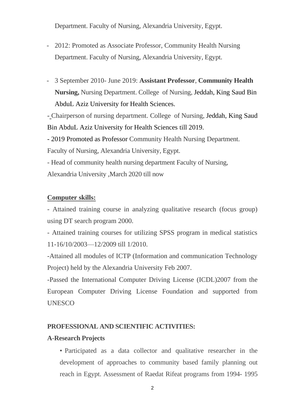Department. Faculty of Nursing, Alexandria University, Egypt.

- 2012: Promoted as Associate Professor, Community Health Nursing Department. Faculty of Nursing, Alexandria University, Egypt.
- 3 September 2010- June 2019: **Assistant Professor**, **Community Health Nursing,** Nursing Department. College of Nursing, Jeddah, King Saud Bin AbduL Aziz University for Health Sciences.

**-** Chairperson of nursing department. College of Nursing, Jeddah, King Saud Bin AbduL Aziz University for Health Sciences till 2019.

- 2019 Promoted as Professor Community Health Nursing Department.

Faculty of Nursing, Alexandria University, Egypt.

- Head of community health nursing department Faculty of Nursing, Alexandria University ,March 2020 till now

# **Computer skills:**

- Attained training course in analyzing qualitative research (focus group) using DT search program 2000.

- Attained training courses for utilizing SPSS program in medical statistics 11-16/10/2003—12/2009 till 1/2010.

-Attained all modules of ICTP (Information and communication Technology Project) held by the Alexandria University Feb 2007.

-Passed the International Computer Driving License (ICDL)2007 from the European Computer Driving License Foundation and supported from UNESCO

# **PROFESSIONAL AND SCIENTIFIC ACTIVITIES:**

#### **A-Research Projects**

• Participated as a data collector and qualitative researcher in the development of approaches to community based family planning out reach in Egypt. Assessment of Raedat Rifeat programs from 1994- 1995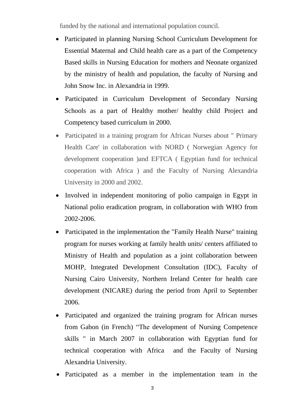funded by the national and international population council.

- Participated in planning Nursing School Curriculum Development for Essential Maternal and Child health care as a part of the Competency Based skills in Nursing Education for mothers and Neonate organized by the ministry of health and population, the faculty of Nursing and John Snow Inc. in Alexandria in 1999.
- Participated in Curriculum Development of Secondary Nursing Schools as a part of Healthy mother/ healthy child Project and Competency based curriculum in 2000.
- Participated in a training program for African Nurses about " Primary Health Care' in collaboration with NORD ( Norwegian Agency for development cooperation )and EFTCA ( Egyptian fund for technical cooperation with Africa ) and the Faculty of Nursing Alexandria University in 2000 and 2002.
- Involved in independent monitoring of polio campaign in Egypt in National polio eradication program, in collaboration with WHO from 2002-2006.
- Participated in the implementation the "Family Health Nurse" training program for nurses working at family health units/ centers affiliated to Ministry of Health and population as a joint collaboration between MOHP, Integrated Development Consultation (IDC), Faculty of Nursing Cairo University, Northern Ireland Center for health care development (NICARE) during the period from April to September 2006.
- Participated and organized the training program for African nurses from Gabon (in French) "The development of Nursing Competence skills " in March 2007 in collaboration with Egyptian fund for technical cooperation with Africa and the Faculty of Nursing Alexandria University.
- Participated as a member in the implementation team in the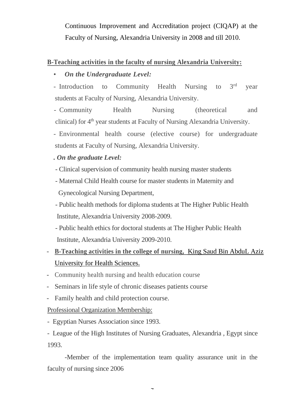Continuous Improvement and Accreditation project (CIQAP) at the Faculty of Nursing, Alexandria University in 2008 and till 2010.

#### **B-Teaching activities in the faculty of nursing Alexandria University:**

# • *On the Undergraduate Level:*

- Introduction to Community Health Nursing to 3<sup>rd</sup> year students at Faculty of Nursing, Alexandria University.

- Community Health Nursing (theoretical and clinical) for 4<sup>th</sup> year students at Faculty of Nursing Alexandria University.

- Environmental health course (elective course) for undergraduate students at Faculty of Nursing, Alexandria University.

- *. On the graduate Level:*
- Clinical supervision of community health nursing master students
- Maternal Child Health course for master students in Maternity and Gynecological Nursing Department,

- Public health methods for diploma students at The Higher Public Health Institute, Alexandria University 2008-2009.

- Public health ethics for doctoral students at The Higher Public Health Institute, Alexandria University 2009-2010.

- **B-Teaching activities in the college of nursing,** King Saud Bin AbduL Aziz University for Health Sciences.
- Community health nursing and health education course
- Seminars in life style of chronic diseases patients course
- Family health and child protection course.

Professional Organization Membership:

- Egyptian Nurses Association since 1993.

- League of the High Institutes of Nursing Graduates, Alexandria , Egypt since 1993.

-Member of the implementation team quality assurance unit in the faculty of nursing since 2006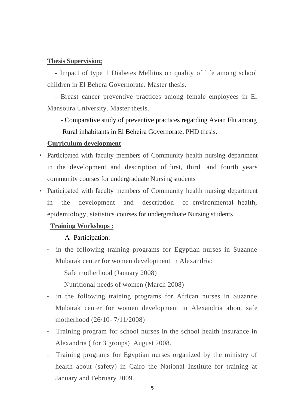#### **Thesis Supervision;**

- Impact of type 1 Diabetes Mellitus on quality of life among school children in El Behera Governorate. Master thesis.

- Breast cancer preventive practices among female employees in El Mansoura University. Master thesis.

 - Comparative study of preventive practices regarding Avian Flu among Rural inhabitants in El Beheira Governorate. PHD thesis.

#### **Curriculum development**

- Participated with faculty members of Community health nursing department in the development and description of first, third and fourth years community courses for undergraduate Nursing students
- Participated with faculty members of Community health nursing department in the development and description of environmental health, epidemiology, statistics courses for undergraduate Nursing students

#### **Training Workshops :**

#### A- Participation:

- in the following training programs for Egyptian nurses in Suzanne Mubarak center for women development in Alexandria:

Safe motherhood (January 2008)

Nutritional needs of women (March 2008)

- in the following training programs for African nurses in Suzanne Mubarak center for women development in Alexandria about safe motherhood (26/10- 7/11/2008)
- Training program for school nurses in the school health insurance in Alexandria ( for 3 groups) August 2008.
- Training programs for Egyptian nurses organized by the ministry of health about (safety) in Cairo the National Institute for training at January and February 2009.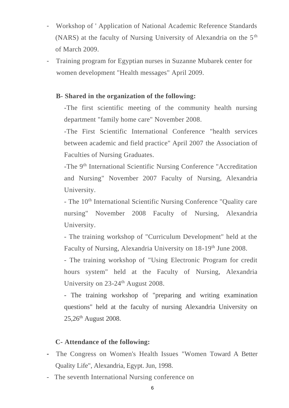- Workshop of ' Application of National Academic Reference Standards (NARS) at the faculty of Nursing University of Alexandria on the 5<sup>th</sup> of March 2009.
- Training program for Egyptian nurses in Suzanne Mubarek center for women development "Health messages" April 2009.

### **B- Shared in the organization of the following:**

-The first scientific meeting of the community health nursing department "family home care" November 2008.

-The First Scientific International Conference "health services between academic and field practice" April 2007 the Association of Faculties of Nursing Graduates.

-The 9th International Scientific Nursing Conference "Accreditation and Nursing" November 2007 Faculty of Nursing, Alexandria University.

- The 10<sup>th</sup> International Scientific Nursing Conference "Quality care" nursing" November 2008 Faculty of Nursing, Alexandria University.

- The training workshop of "Curriculum Development" held at the Faculty of Nursing, Alexandria University on 18-19<sup>th</sup> June 2008.

- The training workshop of "Using Electronic Program for credit hours system" held at the Faculty of Nursing, Alexandria University on 23-24<sup>th</sup> August 2008.

- The training workshop of "preparing and writing examination questions" held at the faculty of nursing Alexandria University on 25,26<sup>th</sup> August 2008.

#### **C- Attendance of the following:**

- The Congress on Women's Health Issues "Women Toward A Better Quality Life", Alexandria, Egypt. Jun, 1998.
- The seventh International Nursing conference on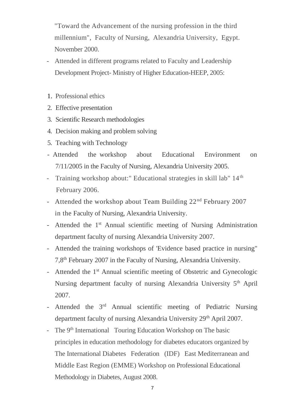"Toward the Advancement of the nursing profession in the third millennium", Faculty of Nursing, Alexandria University, Egypt. November 2000.

- Attended in different programs related to Faculty and Leadership Development Project- Ministry of Higher Education-HEEP, 2005:
- 1. Professional ethics
- 2. Effective presentation
- 3. Scientific Research methodologies
- 4. Decision making and problem solving
- 5. Teaching with Technology
- Attended the workshop about Educational Environment on 7/11/2005 in the Faculty of Nursing, Alexandria University 2005.
- Training workshop about:" Educational strategies in skill lab" 14<sup>th</sup> February 2006.
- Attended the workshop about Team Building  $22<sup>nd</sup>$  February 2007 in the Faculty of Nursing, Alexandria University.
- Attended the 1<sup>st</sup> Annual scientific meeting of Nursing Administration department faculty of nursing Alexandria University 2007.
- Attended the training workshops of 'Evidence based practice in nursing" 7,8th February 2007 in the Faculty of Nursing, Alexandria University.
- Attended the 1<sup>st</sup> Annual scientific meeting of Obstetric and Gynecologic Nursing department faculty of nursing Alexandria University 5<sup>th</sup> April 2007.
- Attended the 3<sup>rd</sup> Annual scientific meeting of Pediatric Nursing department faculty of nursing Alexandria University 29<sup>th</sup> April 2007.
- The 9<sup>th</sup> International Touring Education Workshop on The basic principles in education methodology for diabetes educators organized by The International Diabetes Federation (IDF) East Mediterranean and Middle East Region (EMME) Workshop on Professional Educational Methodology in Diabetes, August 2008.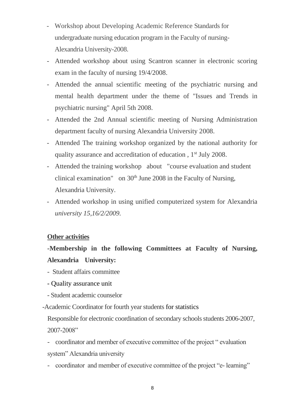- Workshop about Developing Academic Reference Standards for undergraduate nursing education program in the Faculty of nursing-Alexandria University-2008.
- Attended workshop about using Scantron scanner in electronic scoring exam in the faculty of nursing 19/4/2008.
- Attended the annual scientific meeting of the psychiatric nursing and mental health department under the theme of "Issues and Trends in psychiatric nursing" April 5th 2008.
- Attended the 2nd Annual scientific meeting of Nursing Administration department faculty of nursing Alexandria University 2008.
- Attended The training workshop organized by the national authority for quality assurance and accreditation of education, 1<sup>st</sup> July 2008.
- Attended the training workshop about "course evaluation and student clinical examination" on  $30<sup>th</sup>$  June 2008 in the Faculty of Nursing, Alexandria University.
- Attended workshop in using unified computerized system for Alexandria *university 15,16/2/2009.*

#### **Other activities**

# **-Membership in the following Committees at Faculty of Nursing, Alexandria University:**

- Student affairs committee
- Quality assurance unit
- Student academic counselor

-Academic Coordinator for fourth year students for statistics

Responsible for electronic coordination of secondary schools students 2006-2007, 2007-2008"

- coordinator and member of executive committee of the project " evaluation system" Alexandria university

- coordinator and member of executive committee of the project "e- learning"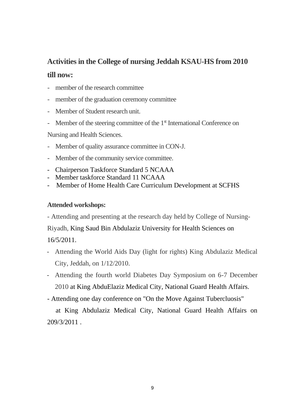# **Activities in the College of nursing Jeddah KSAU-HS from 2010**

# **till now:**

- member of the research committee
- member of the graduation ceremony committee
- Member of Student research unit.
- Member of the steering committee of the 1<sup>st</sup> International Conference on

Nursing and Health Sciences.

- Member of quality assurance committee in CON-J.
- Member of the community service committee.
- Chairperson Taskforce Standard 5 NCAAA
- Member taskforce Standard 11 NCAAA
- Member of Home Health Care Curriculum Development at SCFHS

### **Attended workshops:**

- Attending and presenting at the research day held by College of Nursing-

Riyadh, King Saud Bin Abdulaziz University for Health Sciences on 16/5/2011.

- Attending the World Aids Day (light for rights) King Abdulaziz Medical City, Jeddah, on 1/12/2010.
- Attending the fourth world Diabetes Day Symposium on 6-7 December 2010 at King AbduElaziz Medical City, National Guard Health Affairs.
- Attending one day conference on "On the Move Against Tubercluosis"

 at King Abdulaziz Medical City, National Guard Health Affairs on 209/3/2011 .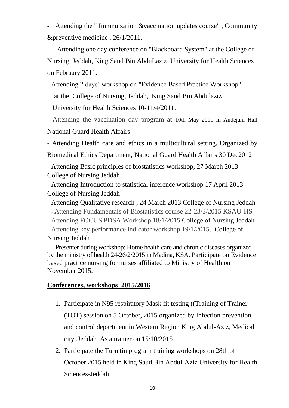- Attending the " Immnuization &vaccination updates course" , Community &preventive medicine , 26/1/2011.

Attending one day conference on "Blackboard System" at the College of Nursing, Jeddah, King Saud Bin AbduLaziz University for Health Sciences on February 2011.

 University for Health Sciences 10-11/4/2011. - Attending 2 days' workshop on "Evidence Based Practice Workshop" at the College of Nursing, Jeddah, King Saud Bin Abdulaziz

- Attending the vaccination day program at 10th May 2011 in Andejani Hall National Guard Health Affairs

- Attending Health care and ethics in a multicultural setting. Organized by Biomedical Ethics Department, National Guard Health Affairs 30 Dec2012

- Attending Basic principles of biostatistics workshop, 27 March 2013 College of Nursing Jeddah

- Attending Introduction to statistical inference workshop 17 April 2013 College of Nursing Jeddah

- Attending Qualitative research , 24 March 2013 College of Nursing Jeddah

- **-** Attending Fundamentals of Biostatistics course 22-23/3/2015 KSAU-HS

- Attending FOCUS PDSA Workshop 18/1/2015 College of Nursing Jeddah

- Attending key performance indicator workshop 19/1/2015. College of Nursing Jeddah

- Presenter during workshop: Home health care and chronic diseases organized by the ministry of health 24-26/2/2015 in Madina, KSA. Participate on Evidence based practice nursing for nurses affiliated to Ministry of Health on November 2015.

#### **Conferences, workshops 2015/2016**

- 1. Participate in N95 respiratory Mask fit testing ((Training of Trainer (TOT) session on 5 October, 2015 organized by Infection prevention and control department in Western Region King Abdul-Aziz, Medical city ,Jeddah .As a trainer on 15/10/2015
- 2. Participate the Turn tin program training workshops on 28th of October 2015 held in King Saud Bin Abdul-Aziz University for Health Sciences-Jeddah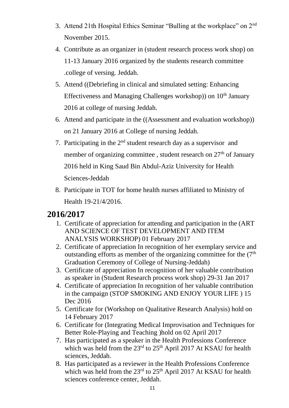- 3. Attend 21th Hospital Ethics Seminar "Bulling at the workplace" on 2nd November 2015.
- 4. Contribute as an organizer in (student research process work shop) on 11-13 January 2016 organized by the students research committee .college of versing. Jeddah.
- 5. Attend ((Debriefing in clinical and simulated setting: Enhancing Effectiveness and Managing Challenges workshop)) on 10<sup>th</sup> January 2016 at college of nursing Jeddah.
- 6. Attend and participate in the ((Assessment and evaluation workshop)) on 21 January 2016 at College of nursing Jeddah.
- 7. Participating in the  $2<sup>nd</sup>$  student research day as a supervisor and member of organizing committee, student research on 27<sup>th</sup> of January 2016 held in King Saud Bin Abdul-Aziz University for Health Sciences-Jeddah
- 8. Participate in TOT for home health nurses affiliated to Ministry of Health 19-21/4/2016.

# **2016/2017**

- 1. Certificate of appreciation for attending and participation in the (ART AND SCIENCE OF TEST DEVELOPMENT AND ITEM ANALYSIS WORKSHOP) 01 February 2017
- 2. Certificate of appreciation In recognition of her exemplary service and outstanding efforts as member of the organizing committee for the  $(7<sup>th</sup>$ Graduation Ceremony of College of Nursing-Jeddah)
- 3. Certificate of appreciation In recognition of her valuable contribution as speaker in (Student Research process work shop) 29-31 Jan 2017
- 4. Certificate of appreciation In recognition of her valuable contribution in the campaign (STOP SMOKING AND ENJOY YOUR LIFE ) 15 Dec 2016
- 5. Certificate for (Workshop on Qualitative Research Analysis) hold on 14 February 2017
- 6. Certificate for (Integrating Medical Improvisation and Techniques for Better Role-Playing and Teaching )hold on 02 April 2017
- 7. Has participated as a speaker in the Health Professions Conference which was held from the  $23<sup>rd</sup>$  to  $25<sup>th</sup>$  April 2017 At KSAU for health sciences, Jeddah.
- 8. Has participated as a reviewer in the Health Professions Conference which was held from the  $23<sup>rd</sup>$  to  $25<sup>th</sup>$  April 2017 At KSAU for health sciences conference center, Jeddah.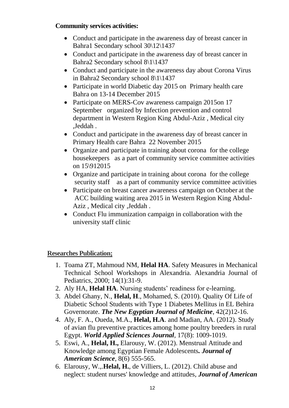## **Community services activities:**

- Conduct and participate in the awareness day of breast cancer in Bahra1 Secondary school 30\12\1437
- Conduct and participate in the awareness day of breast cancer in Bahra2 Secondary school 8\1\1437
- Conduct and participate in the awareness day about Corona Virus in Bahra2 Secondary school 8\1\1437
- Participate in world Diabetic day 2015 on Primary health care Bahra on 13-14 December 2015
- Participate on MERS-Cov awareness campaign 2015on 17 September organized by Infection prevention and control department in Western Region King Abdul-Aziz , Medical city ,Jeddah .
- Conduct and participate in the awareness day of breast cancer in Primary Health care Bahra 22 November 2015
- Organize and participate in training about corona for the college housekeepers as a part of community service committee activities on 15\912015
- Organize and participate in training about corona for the college security staff as a part of community service committee activities
- Participate on breast cancer awareness campaign on October at the ACC building waiting area 2015 in Western Region King Abdul-Aziz , Medical city ,Jeddah .
- Conduct Flu immunization campaign in collaboration with the university staff clinic

# **Researches Publication;**

- 1. Toama ZT, Mahmoud NM, **Helal HA**. Safety Measures in Mechanical Technical School Workshops in Alexandria. Alexandria Journal of Pediatrics, 2000; 14(1):31-9.
- 2. Aly HA, **Helal HA**. Nursing students' readiness for e-learning.
- 3. Abdel Ghany, N., **Helal, H**., Mohamed, S. (2010). Quality Of Life of Diabetic School Students with Type 1 Diabetes Mellitus in EL Behira Governorate. *The New Egyptian Journal of Medicine*, 42(2)12-16.
- 4. Aly, F. A., Oueda, M.A., **Helal, H.A**. and Madian, AA. (2012). Study of avian flu preventive practices among home poultry breeders in rural Egypt. *World Applied Sciences Journal*, 17(8): 1009-1019.
- 5. Eswi, A., **Helal, H.,** Elarousy, W. (2012). Menstrual Attitude and Knowledge among Egyptian Female Adolescents*. Journal of American Science*, 8(6) 555-565.
- 6. Elarousy, W.,.**Helal, H.**, de Villiers, L. (2012). Child abuse and neglect: student nurses' knowledge and attitudes, *Journal of American*